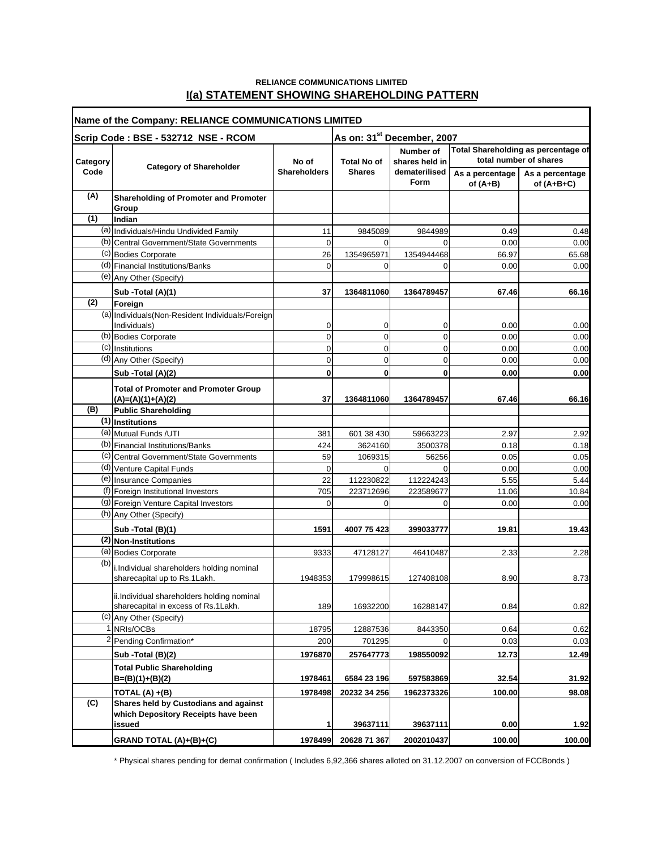### **RELIANCE COMMUNICATIONS LIMITED I(a) STATEMENT SHOWING SHAREHOLDING PATTERN**

| Name of the Company: RELIANCE COMMUNICATIONS LIMITED |                                                                              |                              |                                        |                                                      |                                                               |                                 |
|------------------------------------------------------|------------------------------------------------------------------------------|------------------------------|----------------------------------------|------------------------------------------------------|---------------------------------------------------------------|---------------------------------|
|                                                      | Scrip Code: BSE - 532712 NSE - RCOM                                          |                              | As on: 31 <sup>st</sup> December, 2007 |                                                      |                                                               |                                 |
| Category                                             | <b>Category of Shareholder</b>                                               | No of<br><b>Shareholders</b> | <b>Total No of</b><br><b>Shares</b>    | Number of<br>shares held in<br>dematerilised<br>Form | Total Shareholding as percentage of<br>total number of shares |                                 |
| Code                                                 |                                                                              |                              |                                        |                                                      | As a percentage<br>of $(A+B)$                                 | As a percentage<br>of $(A+B+C)$ |
| (A)                                                  | <b>Shareholding of Promoter and Promoter</b><br>Group                        |                              |                                        |                                                      |                                                               |                                 |
| (1)                                                  | Indian                                                                       |                              |                                        |                                                      |                                                               |                                 |
|                                                      | (a) Individuals/Hindu Undivided Family                                       | 11                           | 9845089                                | 9844989                                              | 0.49                                                          | 0.48                            |
|                                                      | (b) Central Government/State Governments                                     | $\mathbf 0$                  | $\Omega$                               | $\Omega$                                             | 0.00                                                          | 0.00                            |
|                                                      | (c) Bodies Corporate                                                         | 26                           | 1354965971                             | 1354944468                                           | 66.97                                                         | 65.68                           |
|                                                      | (d) Financial Institutions/Banks                                             | $\mathbf 0$                  | $\Omega$                               | $\Omega$                                             | 0.00                                                          | 0.00                            |
|                                                      | (e) Any Other (Specify)                                                      |                              |                                        |                                                      |                                                               |                                 |
|                                                      | Sub - Total (A)(1)                                                           | 37                           | 1364811060                             | 1364789457                                           | 67.46                                                         | 66.16                           |
| (2)                                                  | Foreign                                                                      |                              |                                        |                                                      |                                                               |                                 |
|                                                      | (a) Individuals (Non-Resident Individuals/Foreign                            |                              |                                        |                                                      |                                                               |                                 |
|                                                      | Individuals)                                                                 | 0                            | 0                                      | 0                                                    | 0.00                                                          | 0.00                            |
|                                                      | (b) Bodies Corporate                                                         | 0                            | 0                                      | $\mathbf 0$                                          | 0.00                                                          | 0.00                            |
|                                                      | (c) Institutions                                                             | 0                            | 0                                      | $\mathbf 0$                                          | 0.00                                                          | 0.00                            |
|                                                      | (d) Any Other (Specify)                                                      | 0                            | 0                                      | $\mathbf 0$                                          | 0.00                                                          | 0.00                            |
|                                                      | Sub -Total (A)(2)                                                            | 0                            | 0                                      | 0                                                    | 0.00                                                          | 0.00                            |
|                                                      | <b>Total of Promoter and Promoter Group</b><br>$(A)=(A)(1)+(A)(2)$           | 37                           | 1364811060                             | 1364789457                                           | 67.46                                                         | 66.16                           |
| (B)                                                  | <b>Public Shareholding</b>                                                   |                              |                                        |                                                      |                                                               |                                 |
|                                                      | $(1)$ Institutions                                                           |                              |                                        |                                                      |                                                               |                                 |
|                                                      | (a) Mutual Funds /UTI                                                        | 381                          | 601 38 430                             | 59663223                                             | 2.97                                                          | 2.92                            |
|                                                      | (b) Financial Institutions/Banks                                             | 424                          | 3624160                                | 3500378                                              | 0.18                                                          | 0.18                            |
|                                                      | (c) Central Government/State Governments                                     | 59                           | 1069315                                | 56256                                                | 0.05                                                          | 0.05                            |
|                                                      | (d) Venture Capital Funds                                                    | 0                            | $\Omega$                               | $\Omega$                                             | 0.00                                                          | 0.00                            |
|                                                      | (e) Insurance Companies                                                      | 22                           | 112230822                              | 112224243                                            | 5.55                                                          | 5.44                            |
|                                                      | (f) Foreign Institutional Investors                                          | 705                          | 223712696                              | 223589677                                            | 11.06                                                         | 10.84                           |
|                                                      | (g) Foreign Venture Capital Investors                                        | $\Omega$                     | 0                                      | $\Omega$                                             | 0.00                                                          | 0.00                            |
|                                                      | (h) Any Other (Specify)                                                      |                              |                                        |                                                      |                                                               |                                 |
|                                                      | Sub - Total (B)(1)                                                           | 1591                         | 4007 75 423                            | 399033777                                            | 19.81                                                         | 19.43                           |
|                                                      | (2) Non-Institutions                                                         |                              |                                        |                                                      |                                                               |                                 |
|                                                      | (a) Bodies Corporate                                                         | 9333                         | 47128127                               | 46410487                                             | 2.33                                                          | 2.28                            |
| (b)                                                  | i.Individual shareholders holding nominal                                    |                              |                                        |                                                      |                                                               |                                 |
|                                                      | sharecapital up to Rs.1Lakh.                                                 | 1948353                      | 179998615                              | 127408108                                            | 8.90                                                          | 8.73                            |
|                                                      | ii.Individual shareholders holding nominal                                   |                              |                                        |                                                      |                                                               |                                 |
|                                                      | sharecapital in excess of Rs.1Lakh.                                          | 189                          | 16932200                               | 16288147                                             | 0.84                                                          | 0.82                            |
|                                                      | (c) Any Other (Specify)                                                      |                              |                                        |                                                      |                                                               |                                 |
|                                                      | 1 NRIs/OCBs                                                                  | 18795                        | 12887536                               | 8443350                                              | 0.64                                                          | 0.62                            |
|                                                      | <sup>2</sup> Pending Confirmation*                                           | 200                          | 701295                                 | $\Omega$                                             | 0.03                                                          | 0.03                            |
|                                                      | Sub - Total (B)(2)                                                           | 1976870                      | 257647773                              | 198550092                                            | 12.73                                                         | 12.49                           |
|                                                      | <b>Total Public Shareholding</b><br>$B=(B)(1)+(B)(2)$                        | 1978461                      | 6584 23 196                            | 597583869                                            | 32.54                                                         | 31.92                           |
|                                                      | TOTAL $(A) + (B)$                                                            | 1978498                      | 20232 34 256                           | 1962373326                                           | 100.00                                                        | 98.08                           |
| (C)                                                  | Shares held by Custodians and against<br>which Depository Receipts have been |                              |                                        |                                                      |                                                               |                                 |
|                                                      | issued                                                                       | 1                            | 39637111                               | 39637111                                             | 0.00                                                          | 1.92                            |
|                                                      | GRAND TOTAL (A)+(B)+(C)                                                      | 1978499                      | 20628 71 367                           | 2002010437                                           | 100.00                                                        | 100.00                          |

\* Physical shares pending for demat confirmation ( Includes 6,92,366 shares alloted on 31.12.2007 on conversion of FCCBonds )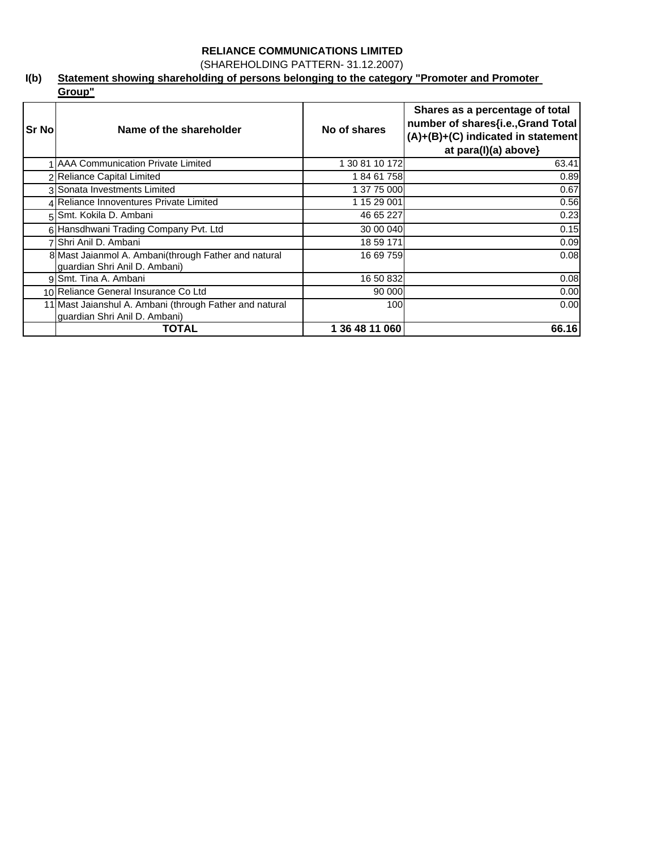(SHAREHOLDING PATTERN- 31.12.2007)

### **I(b) Statement showing shareholding of persons belonging to the category "Promoter and Promoter Group"**

| <b>Sr No</b> | Name of the shareholder                                                                  | No of shares     | Shares as a percentage of total<br>number of shares{i.e., Grand Total<br>$(A)+(B)+(C)$ indicated in statement<br>at para(I)(a) above} |
|--------------|------------------------------------------------------------------------------------------|------------------|---------------------------------------------------------------------------------------------------------------------------------------|
|              | AAA Communication Private Limited                                                        | 1 30 81 10 172   | 63.41                                                                                                                                 |
|              | <b>Reliance Capital Limited</b>                                                          | 18461758         | 0.89                                                                                                                                  |
|              | 3 Sonata Investments Limited                                                             | 1 37 75 000      | 0.67                                                                                                                                  |
|              | 4 Reliance Innoventures Private Limited                                                  | 1 15 29 001      | 0.56                                                                                                                                  |
|              | 5 Smt. Kokila D. Ambani                                                                  | 46 65 227        | 0.23                                                                                                                                  |
|              | 6 Hansdhwani Trading Company Pvt. Ltd                                                    | 30 00 040        | 0.15                                                                                                                                  |
|              | Shri Anil D. Ambani                                                                      | 18 59 171        | 0.09                                                                                                                                  |
|              | 8 Mast Jaianmol A. Ambani (through Father and natural<br>guardian Shri Anil D. Ambani)   | 16 69 759        | 0.08                                                                                                                                  |
|              | 9 Smt. Tina A. Ambani                                                                    | 16 50 832        | 0.08                                                                                                                                  |
|              | 10 Reliance General Insurance Co Ltd                                                     | 90 000           | 0.00                                                                                                                                  |
|              | 11 Mast Jaianshul A. Ambani (through Father and natural<br>guardian Shri Anil D. Ambani) | 100 <sup>1</sup> | 0.00                                                                                                                                  |
|              | TOTAL                                                                                    | 1 36 48 11 060   | 66.16                                                                                                                                 |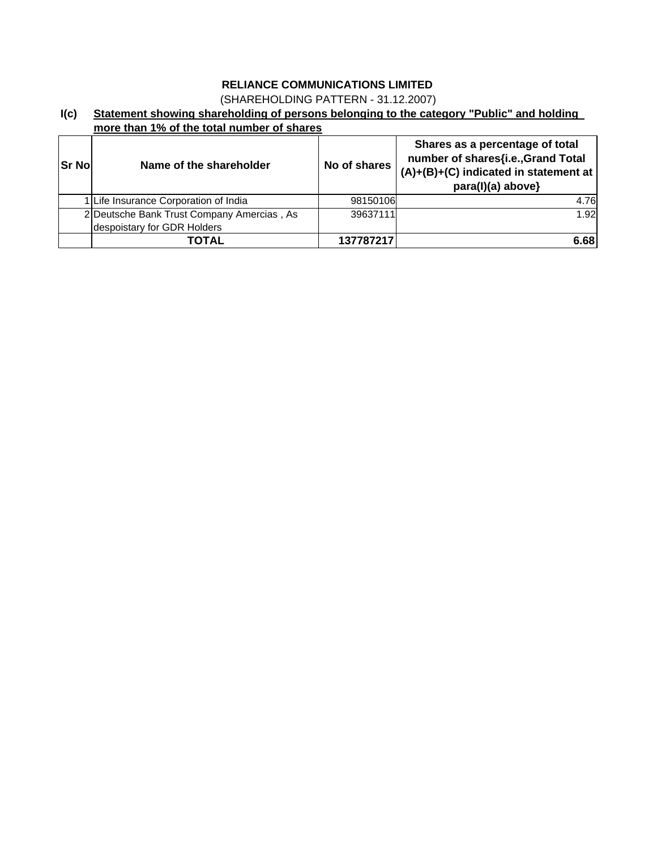(SHAREHOLDING PATTERN - 31.12.2007)

### **I(c) Statement showing shareholding of persons belonging to the category "Public" and holding more than 1% of the total number of shares**

| <b>Sr No</b> | Name of the shareholder                                                   | No of shares | Shares as a percentage of total<br>number of shares{i.e., Grand Total<br>$(A)+(B)+(C)$ indicated in statement at<br>para(I)(a) above} |
|--------------|---------------------------------------------------------------------------|--------------|---------------------------------------------------------------------------------------------------------------------------------------|
|              | 1 Life Insurance Corporation of India                                     | 98150106     | 4.76                                                                                                                                  |
|              | 2 Deutsche Bank Trust Company Amercias, As<br>despoistary for GDR Holders | 39637111     | 1.92                                                                                                                                  |
|              | TOTAL                                                                     | 137787217    | 6.68                                                                                                                                  |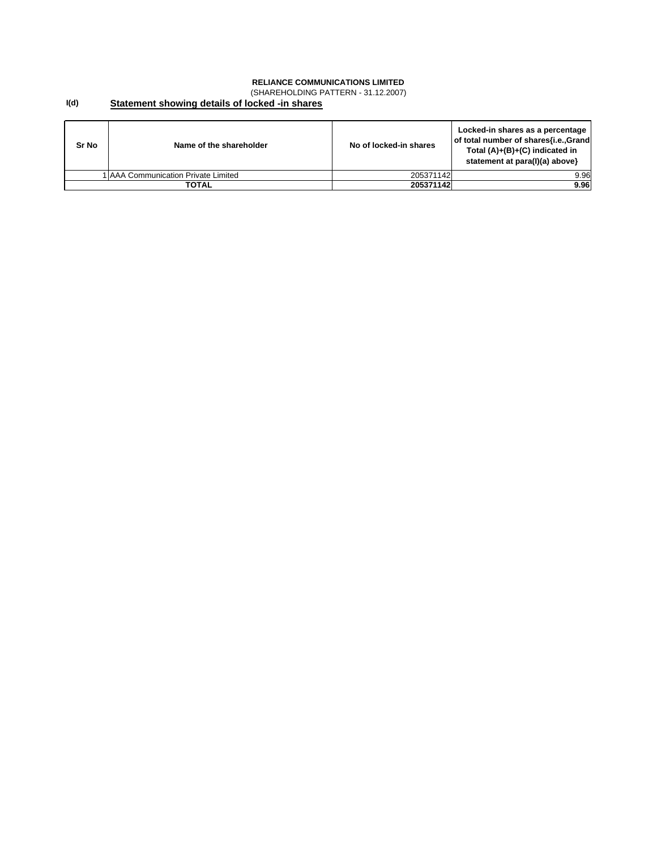(SHAREHOLDING PATTERN - 31.12.2007)

#### **I(d) Statement showing details of locked -in shares**

| Sr No | Name of the shareholder              | No of locked-in shares | Locked-in shares as a percentage<br>of total number of shares{i.e., Grand<br>Total $(A)+(B)+(C)$ indicated in<br>statement at para(I)(a) above} |
|-------|--------------------------------------|------------------------|-------------------------------------------------------------------------------------------------------------------------------------------------|
|       | I IAAA Communication Private Limited | 205371142              | 9.96                                                                                                                                            |
|       | TOTAL                                | 205371142              | 9.96                                                                                                                                            |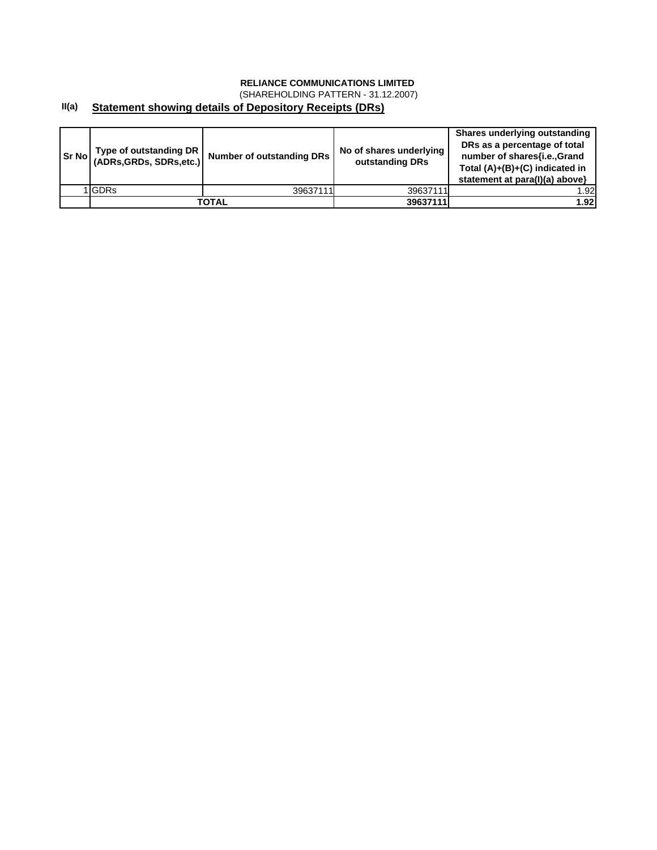(SHAREHOLDING PATTERN - 31.12.2007)

### **II(a) Statement showing details of Depository Receipts (DRs)**

| Sr No | Type of outstanding DR<br>(ADRs, GRDs, SDRs, etc.) | <b>Number of outstanding DRs</b> | No of shares underlying<br>outstanding DRs | Shares underlying outstanding<br>DRs as a percentage of total<br>number of shares{i.e.,Grand<br>Total (A)+(B)+(C) indicated in<br>statement at para(I)(a) above} |
|-------|----------------------------------------------------|----------------------------------|--------------------------------------------|------------------------------------------------------------------------------------------------------------------------------------------------------------------|
|       | 1 GDRs                                             | 39637111                         | 39637111                                   | 1.92                                                                                                                                                             |
|       |                                                    | TOTAL                            | 39637111                                   | 1.92                                                                                                                                                             |